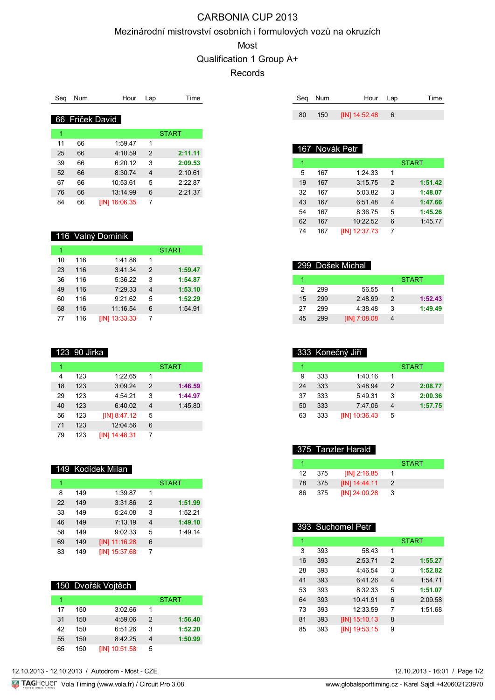# CARBONIA CUP 2013

#### Mezinárodní mistrovství osobních i formulových vozů na okruzích

Most

# Qualification 1 Group A+

Records

| Sea | Num | Hour            | Lap | Time         |
|-----|-----|-----------------|-----|--------------|
|     |     |                 |     |              |
|     |     | 66 Friček David |     |              |
| 1   |     |                 |     | <b>START</b> |
|     |     |                 |     |              |
| 11  | 66  | 1:59.47         | 1   |              |
| 25  | 66  | 4:10.59         | 2   | 2:11.11      |
| 39  | 66  | 6:20.12         | 3   | 2:09.53      |
| 52  | 66  | 8:30.74         | 4   | 2:10.61      |
| 67  | 66  | 10:53.61        | 5   | 2:22.87      |
| 76  | 66  | 13:14.99        | 6   | 2:21.37      |
| 84  | 66  | [IN] 16:06.35   | 7   |              |

| 116 Valný Dominik |
|-------------------|
|-------------------|

| 1  |     |               |   | <b>START</b> |
|----|-----|---------------|---|--------------|
| 10 | 116 | 1:41.86       | 1 |              |
| 23 | 116 | 3:41.34       | 2 | 1:59.47      |
| 36 | 116 | 5:36.22       | 3 | 1:54.87      |
| 49 | 116 | 7:29.33       | 4 | 1:53.10      |
| 60 | 116 | 9:21.62       | 5 | 1:52.29      |
| 68 | 116 | 11:16.54      | 6 | 1:54.91      |
| 77 | 116 | [IN] 13:33.33 |   |              |

| 123 90 Jirka |
|--------------|
|--------------|

| 1  |     |                 |   | <b>START</b> |
|----|-----|-----------------|---|--------------|
| 4  | 123 | 1:22.65         | 1 |              |
| 18 | 123 | 3:09.24         | 2 | 1:46.59      |
| 29 | 123 | 4:54.21         | 3 | 1:44.97      |
| 40 | 123 | 6:40.02         | 4 | 1:45.80      |
| 56 | 123 | $[IN]$ 8:47.12  | 5 |              |
| 71 | 123 | 12:04.56        | 6 |              |
| 79 | 123 | $[IN]$ 14:48.31 |   |              |

|    |     | 149 Kodídek Milan |               |              |
|----|-----|-------------------|---------------|--------------|
| 1  |     |                   |               | <b>START</b> |
| 8  | 149 | 1:39.87           | 1             |              |
| 22 | 149 | 3:31.86           | $\mathcal{P}$ | 1:51.99      |
| 33 | 149 | 5:24.08           | 3             | 1:52.21      |
| 46 | 149 | 7:13.19           | 4             | 1:49.10      |
| 58 | 149 | 9:02.33           | 5             | 1:49.14      |
| 69 | 149 | $[IN]$ 11:16.28   | 6             |              |
| 83 | 149 | [IN] 15:37.68     |               |              |

## 150 Dvořák Vojtěch

|    |     |               |               | <b>START</b> |
|----|-----|---------------|---------------|--------------|
| 17 | 150 | 3:02.66       |               |              |
| 31 | 150 | 4:59.06       | $\mathcal{P}$ | 1:56.40      |
| 42 | 150 | 6:51.26       | 3             | 1:52.20      |
| 55 | 150 | 8:42.25       | 4             | 1:50.99      |
| 65 | 150 | [IN] 10:51.58 | 5             |              |

|    | Seg Num | Hour Lap        | Time |
|----|---------|-----------------|------|
|    |         |                 |      |
| 80 | 150     | [IN] 14:52.48 6 |      |

#### 167 Novák Petr

|    |     |               |               | <b>START</b> |
|----|-----|---------------|---------------|--------------|
| 5  | 167 | 1:24.33       | 1             |              |
| 19 | 167 | 3:15.75       | $\mathcal{P}$ | 1:51.42      |
| 32 | 167 | 5:03.82       | 3             | 1:48.07      |
| 43 | 167 | 6:51.48       |               | 1:47.66      |
| 54 | 167 | 8:36.75       | 5             | 1:45.26      |
| 62 | 167 | 10:22.52      | 6             | 1:45.77      |
| 74 | 167 | [IN] 12:37.73 |               |              |

# 299 Došek Michal

|    |     |              |               | <b>START</b> |
|----|-----|--------------|---------------|--------------|
| 2  | 299 | 56.55        |               |              |
| 15 | 299 | 2:48.99      | $\mathcal{P}$ | 1:52.43      |
| 27 | 299 | 4.3848       | 3             | 1:49.49      |
| 45 | 299 | [IN] 7:08.08 |               |              |

|    |     | 333 Konečný Jiří |   |              |
|----|-----|------------------|---|--------------|
|    |     |                  |   | <b>START</b> |
| 9  | 333 | 1:40.16          | 1 |              |
| 24 | 333 | 3:48.94          | 2 | 2:08.77      |
| 37 | 333 | 5:49.31          | 3 | 2:00.36      |
| 50 | 333 | 7:47.06          |   | 1:57.75      |
| 63 | 333 | $[IN]$ 10:36.43  | 5 |              |

#### 375 Tanzler Harald

|    |       |                 | <b>START</b> |  |
|----|-------|-----------------|--------------|--|
| 12 | - 375 | $[IN]$ 2:16.85  |              |  |
| 78 | - 375 | $[IN]$ 14:44.11 | 2            |  |
| 86 | -375  | [IN] 24:00.28   | -3           |  |

#### 393 Suchomel Petr

| 1  |     |                 |                | <b>START</b> |
|----|-----|-----------------|----------------|--------------|
| 3  | 393 | 58.43           | 1              |              |
| 16 | 393 | 2:53.71         | $\mathcal{P}$  | 1:55.27      |
| 28 | 393 | 4:46.54         | 3              | 1:52.82      |
| 41 | 393 | 6:41.26         | $\overline{4}$ | 1:54.71      |
| 53 | 393 | 8:32.33         | 5              | 1:51.07      |
| 64 | 393 | 10:41.91        | 6              | 2:09.58      |
| 73 | 393 | 12:33.59        | 7              | 1:51.68      |
| 81 | 393 | $[IN]$ 15:10.13 | 8              |              |
| 85 | 393 | [IN] 19:53.15   | 9              |              |